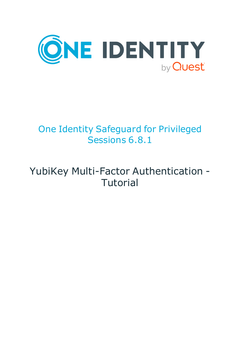

# One Identity Safeguard for Privileged Sessions 6.8.1

# YubiKey Multi-Factor Authentication - **Tutorial**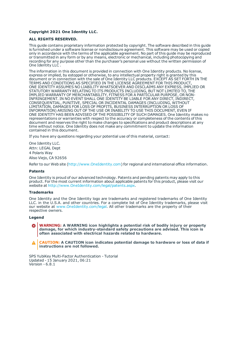#### **Copyright 2021 One Identity LLC.**

#### **ALL RIGHTS RESERVED.**

This guide contains proprietary information protected by copyright. The software described in this guide is furnished under a software license or nondisclosure agreement. This software may be used or copied only in accordance with the terms of the applicable agreement. No part of this guide may be reproduced or transmitted in any form or by any means, electronic or mechanical, including photocopying and recording for any purpose other than the purchaser's personal use without the written permission of One Identity LLC .

The information in this document is provided in connection with One Identity products. No license, express or implied, by estoppel or otherwise, to any intellectual property right is granted by this document or in connection with the sale of One Identity LLC products. EXCEPT AS SET FORTH IN THE TERMS AND CONDITIONS AS SPECIFIED IN THE LICENSE AGREEMENT FOR THIS PRODUCT, ONE IDENTITY ASSUMES NO LIABILITY WHATSOEVER AND DISCLAIMS ANY EXPRESS, IMPLIED OR STATUTORY WARRANTY RELATING TO ITS PRODUCTS INCLUDING, BUT NOT LIMITED TO, THE IMPLIED WARRANTY OF MERCHANTABILITY, FITNESS FOR A PARTICULAR PURPOSE, OR NON-INFRINGEMENT. IN NO EVENT SHALL ONE IDENTITY BE LIABLE FOR ANY DIRECT, INDIRECT, CONSEQUENTIAL, PUNITIVE, SPECIAL OR INCIDENTAL DAMAGES (INCLUDING, WITHOUT LIMITATION, DAMAGES FOR LOSS OF PROFITS, BUSINESS INTERRUPTION OR LOSS OF INFORMATION) ARISING OUT OF THE USE OR INABILITY TO USE THIS DOCUMENT, EVEN IF ONE IDENTITY HAS BEEN ADVISED OF THE POSSIBILITY OF SUCH DAMAGES. One Identity makes no representations or warranties with respect to the accuracy or completeness of the contents of this document and reserves the right to make changes to specifications and product descriptions at any time without notice. One Identity does not make any commitment to update the information contained in this document.

If you have any questions regarding your potential use of this material, contact:

One Identity LLC. Attn: LEGAL Dept 4 Polaris Way Aliso Viejo, CA 92656

Refer to our Web site ([http://www.OneIdentity.com](http://www.oneidentity.com/)) for regional and international office information.

#### **Patents**

One Identity is proud of our advanced technology. Patents and pending patents may apply to this product. For the most current information about applicable patents for this product, please visit our website at [http://www.OneIdentity.com/legal/patents.aspx](http://www.oneidentity.com/legal/patents.aspx).

#### **Trademarks**

One Identity and the One Identity logo are trademarks and registered trademarks of One Identity LLC. in the U.S.A. and other countries. For a complete list of One Identity trademarks, please visit our website at [www.OneIdentity.com/legal](http://www.oneidentity.com/legal). All other trademarks are the property of their respective owners.

#### **Legend**

**WARNING: A WARNING icon highlights a potential risk of bodily injury or property damage, for which industry-standard safety precautions are advised. This icon is often associated with electrical hazards related to hardware.**

**CAUTION: A CAUTION icon indicates potential damage to hardware or loss of data if** A **instructions are not followed.**

SPS YubiKey Multi-Factor Authentication - Tutorial Updated - 15 January 2021, 06:21 Version - 6.8.1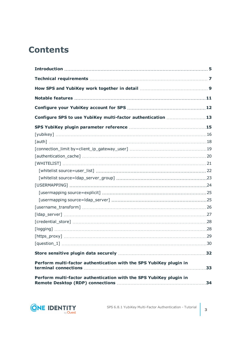## **Contents**

| Configure SPS to use YubiKey multi-factor authentication 13        |    |
|--------------------------------------------------------------------|----|
|                                                                    |    |
|                                                                    |    |
|                                                                    |    |
|                                                                    |    |
|                                                                    |    |
|                                                                    |    |
|                                                                    |    |
|                                                                    |    |
|                                                                    |    |
|                                                                    |    |
|                                                                    |    |
|                                                                    |    |
|                                                                    |    |
|                                                                    |    |
|                                                                    |    |
|                                                                    |    |
|                                                                    |    |
|                                                                    |    |
| Perform multi-factor authentication with the SPS YubiKey plugin in | 33 |
| Perform multi-factor authentication with the SPS YubiKey plugin in |    |

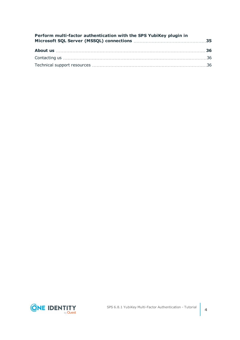| Perform multi-factor authentication with the SPS YubiKey plugin in |  |
|--------------------------------------------------------------------|--|
|                                                                    |  |
|                                                                    |  |
|                                                                    |  |

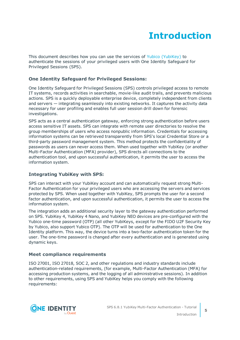# **Introduction**

<span id="page-4-0"></span>This document describes how you can use the services of Yubico [\(YubiKey\)](https://www.yubico.com/) to authenticate the sessions of your privileged users with One Identity Safeguard for Privileged Sessions (SPS).

#### **One Identity Safeguard for Privileged Sessions:**

One Identity Safeguard for Privileged Sessions (SPS) controls privileged access to remote IT systems, records activities in searchable, movie-like audit trails, and prevents malicious actions. SPS is a quickly deployable enterprise device, completely independent from clients and servers — integrating seamlessly into existing networks. It captures the activity data necessary for user profiling and enables full user session drill down for forensic investigations.

SPS acts as a central authentication gateway, enforcing strong authentication before users access sensitive IT assets. SPS can integrate with remote user directories to resolve the group memberships of users who access nonpublic information. Credentials for accessing information systems can be retrieved transparently from SPS's local Credential Store or a third-party password management system. This method protects the confidentiality of passwords as users can never access them. When used together with YubiKey (or another Multi-Factor Authentication (MFA) provider), SPS directs all connections to the authentication tool, and upon successful authentication, it permits the user to access the information system.

#### **Integrating YubiKey with SPS:**

SPS can interact with your YubiKey account and can automatically request strong Multi-Factor Authentication for your privileged users who are accessing the servers and services protected by SPS. When used together with YubiKey, SPS prompts the user for a second factor authentication, and upon successful authentication, it permits the user to access the information system.

The integration adds an additional security layer to the gateway authentication performed on SPS. YubiKey 4, YubiKey 4 Nano, and YubiKey NEO devices are pre-configured with the Yubico one-time password (OTP) (all other YubiKeys, except for the FIDO U2F Security Key by Yubico, also support Yubico OTP). The OTP will be used for authentication to the One Identity platform. This way, the device turns into a two-factor authentication token for the user. The one-time password is changed after every authentication and is generated using dynamic keys.

#### **Meet compliance requirements**

ISO 27001, ISO 27018, SOC 2, and other regulations and industry standards include authentication-related requirements, (for example, Multi-Factor Authentication (MFA) for accessing production systems, and the logging of all administrative sessions). In addition to other requirements, using SPS and YubiKey helps you comply with the following requirements:

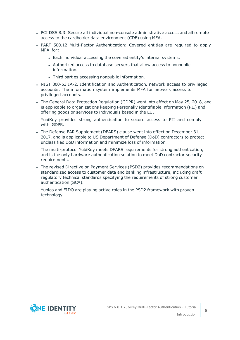- PCI DSS 8.3: Secure all individual non-console administrative access and all remote access to the cardholder data environment (CDE) using MFA.
- PART 500.12 Multi-Factor Authentication: Covered entities are required to apply MFA for:
	- Each individual accessing the covered entity's internal systems.
	- Authorized access to database servers that allow access to nonpublic information.
	- Third parties accessing nonpublic information.
- NIST 800-53 IA-2, Identification and Authentication, network access to privileged accounts: The information system implements MFA for network access to privileged accounts.
- The General Data Protection Regulation (GDPR) went into effect on May 25, 2018, and is applicable to organizations keeping Personally identifiable information (PII) and offering goods or services to individuals based in the EU.

YubiKey provides strong authentication to secure access to PII and comply with GDPR.

• The Defense FAR Supplement (DFARS) clause went into effect on December 31, 2017, and is applicable to US Department of Defense (DoD) contractors to protect unclassified DoD information and minimize loss of information.

The multi-protocol YubiKey meets DFARS requirements for strong authentication, and is the only hardware authentication solution to meet DoD contractor security requirements.

• The revised Directive on Payment Services (PSD2) provides recommendations on standardized access to customer data and banking infrastructure, including draft regulatory technical standards specifying the requirements of strong customer authentication (SCA).

Yubico and FIDO are playing active roles in the PSD2 framework with proven technology.

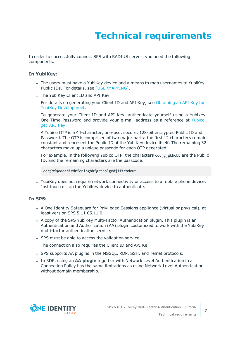# **Technical requirements**

<span id="page-6-0"></span>In order to successfully connect SPS with RADIUS server, you need the following components.

#### **In YubiKey:**

- The users must have a YubiKey device and a means to map usernames to YubiKey Public IDs. For details, see [\[USERMAPPING\].](#page-23-0)
- The YubiKey Client ID and API Key.

For details on generating your Client ID and API Key, see [Obtaining](https://support.yubico.com/hc/en-us/articles/360013717560-Obtaining-an-API-Key-for-YubiKey-Development) an API Key for YubiKey [Development](https://support.yubico.com/hc/en-us/articles/360013717560-Obtaining-an-API-Key-for-YubiKey-Development).

To generate your Client ID and API Key, authenticate yourself using a Yubikey One-Time Password and provide your e-mail address as a reference at [Yubico](https://upgrade.yubico.com/getapikey/) get API [key](https://upgrade.yubico.com/getapikey/).

A Yubico OTP is a 44-character, one-use, secure, 128-bit encrypted Public ID and Password. The OTP is comprised of two major parts: the first 12 characters remain constant and represent the Public ID of the YubiKey device itself. The remaining 32 characters make up a unique passcode for each OTP generated.

For example, in the following Yubico OTP, the characters cccjgjgkhcbb are the Public ID, and the remaining characters are the passcode.

*cccjgjgkhcbb*irdrfdnlnghhfgrtnnlgedjlftrbdeut

• YubiKey does not require network connectivity or access to a mobile phone device. Just touch or tap the YubiKey device to authenticate.

#### **In SPS:**

- A One Identity Safeguard for Privileged Sessions appliance (virtual or physical), at least version SPS 5.11.05.11.0.
- A copy of the SPS YubiKey Multi-Factor Authentication plugin. This plugin is an Authentication and Authorization (AA) plugin customized to work with the YubiKey multi-factor authentication service.
- SPS must be able to access the validation service.

The connection also requires the Client ID and API Ke.

- SPS supports AA plugins in the MSSQL, RDP, SSH, and Telnet protocols.
- **In RDP, using an AA plugin together with Network Level Authentication in a** Connection Policy has the same limitations as using Network Level Authentication without domain membership.

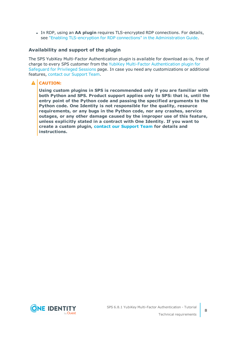**In RDP, using an AA plugin requires TLS-encrypted RDP connections. For details,** see "Enabling [TLS-encryption](https://support.oneidentity.com/technical-documents/safeguard-for-privileged-sessions/6.8.1/administration-guide/rdp-specific-settings/enabling-tls-encryption-for-rdp-connections/) for RDP connections" in the Administration Guide.

#### **Availability and support of the plugin**

The SPS YubiKey Multi-Factor Authentication plugin is available for download as-is, free of charge to every SPS customer from the YubiKey Multi-Factor [Authentication](https://github.com/OneIdentity/safeguard-sessions-plugin-yubikey-mfa/releases) plugin for [Safeguard](https://github.com/OneIdentity/safeguard-sessions-plugin-yubikey-mfa/releases) for Privileged Sessions page. In case you need any customizations or additional features, contact our [Support](https://support.oneidentity.com/one-identity-safeguard-for-privileged-sessions) Team.

#### **A** CAUTION:

**Using custom plugins in SPS is recommended only if you are familiar with both Python and SPS. Product support applies only to SPS: that is, until the entry point of the Python code and passing the specified arguments to the Python code. One Identity is not responsible for the quality, resource requirements, or any bugs in the Python code, nor any crashes, service outages, or any other damage caused by the improper use of this feature, unless explicitly stated in a contract with One Identity. If you want to create a custom plugin, contact our [Support](https://support.oneidentity.com/one-identity-safeguard-for-privileged-sessions) Team for details and instructions.**

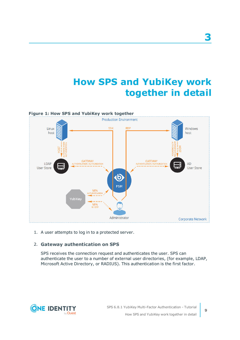# **How SPS and YubiKey work together in detail**

<span id="page-8-0"></span>

1. A user attempts to log in to a protected server.

#### 2. **Gateway authentication on SPS**

SPS receives the connection request and authenticates the user. SPS can authenticate the user to a number of external user directories, (for example, LDAP, Microsoft Active Directory, or RADIUS). This authentication is the first factor.



**3**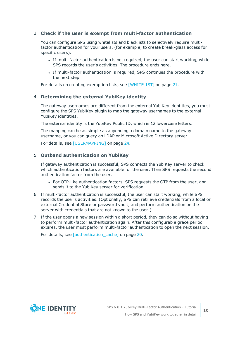#### 3. **Check if the user is exempt from multi-factor authentication**

You can configure SPS using whitelists and blacklists to selectively require multifactor authentication for your users, (for example, to create break-glass access for specific users).

- If multi-factor authentication is not required, the user can start working, while SPS records the user's activities. The procedure ends here.
- If multi-factor authentication is required, SPS continues the procedure with the next step.

For details on creating exemption lists, see [\[WHITELIST\]](#page-20-0) on page 21.

#### 4. **Determining the external YubiKey identity**

The gateway usernames are different from the external YubiKey identities, you must configure the SPS YubiKey plugin to map the gateway usernames to the external YubiKey identities.

The external identity is the YubiKey Public ID, which is 12 lowercase letters.

The mapping can be as simple as appending a domain name to the gateway username, or you can query an LDAP or Microsoft Active Directory server.

For details, see [\[USERMAPPING\]](#page-23-0) on page 24.

#### 5. **Outband authentication on YubiKey**

If gateway authentication is successful, SPS connects the YubiKey server to check which authentication factors are available for the user. Then SPS requests the second authentication factor from the user.

- For OTP-like authentication factors, SPS requests the OTP from the user, and sends it to the YubiKey server for verification.
- 6. If multi-factor authentication is successful, the user can start working, while SPS records the user's activities. (Optionally, SPS can retrieve credentials from a local or external Credential Store or password vault, and perform authentication on the server with credentials that are not known to the user.)
- 7. If the user opens a new session within a short period, they can do so without having to perform multi-factor authentication again. After this configurable grace period expires, the user must perform multi-factor authentication to open the next session.

For details, see [authentication cache] on page 20.

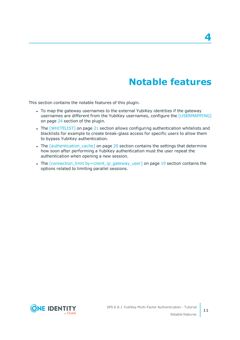# **Notable features**

**4**

<span id="page-10-0"></span>This section contains the notable features of this plugin.

- To map the gateway usernames to the external YubiKey identities if the gateway usernames are different from the YubiKey usernames, configure the [\[USERMAPPING\]](#page-23-0) on [page](#page-23-0) 24 section of the plugin.
- The [\[WHITELIST\]](#page-20-0) on page 21 section allows configuring authentication whitelists and blacklists for example to create break-glass access for specific users to allow them to bypass YubiKey authentication.
- The *[authentication cache]* on page 20 section contains the settings that determine how soon after performing a YubiKey authentication must the user repeat the authentication when opening a new session.
- The [connection\_limit [by=client\\_ip\\_gateway\\_user\]](#page-18-0) on page 19 section contains the options related to limiting parallel sessions.

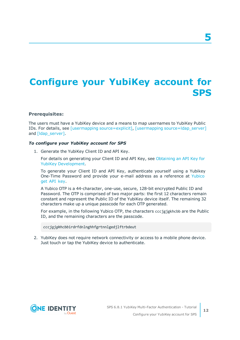# <span id="page-11-0"></span>**Configure your YubiKey account for SPS**

#### **Prerequisites:**

The users must have a YubiKey device and a means to map usernames to YubiKey Public IDs. For details, see [usermapping [source=explicit\]](#page-24-0), [usermapping [source=ldap\\_server\]](#page-24-1) and [Idap\_server].

#### *To configure your YubiKey account for SPS*

1. Generate the YubiKey Client ID and API Key.

For details on generating your Client ID and API Key, see [Obtaining](https://support.yubico.com/hc/en-us/articles/360013717560-Obtaining-an-API-Key-for-YubiKey-Development) an API Key for YubiKey [Development](https://support.yubico.com/hc/en-us/articles/360013717560-Obtaining-an-API-Key-for-YubiKey-Development).

To generate your Client ID and API Key, authenticate yourself using a Yubikey One-Time Password and provide your e-mail address as a reference at [Yubico](https://upgrade.yubico.com/getapikey/) get API [key](https://upgrade.yubico.com/getapikey/).

A Yubico OTP is a 44-character, one-use, secure, 128-bit encrypted Public ID and Password. The OTP is comprised of two major parts: the first 12 characters remain constant and represent the Public ID of the YubiKey device itself. The remaining 32 characters make up a unique passcode for each OTP generated.

For example, in the following Yubico OTP, the characters cccjgjgkhcbb are the Public ID, and the remaining characters are the passcode.

*cccjgjgkhcbb*irdrfdnlnghhfgrtnnlgedjlftrbdeut

2. YubiKey does not require network connectivity or access to a mobile phone device. Just touch or tap the YubiKey device to authenticate.



**12**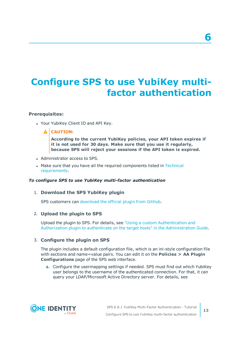# <span id="page-12-0"></span>**Configure SPS to use YubiKey multifactor authentication**

#### **Prerequisites:**

• Your YubiKey Client ID and API Key.

#### **A** CAUTION:

**According to the current YubiKey policies, your API token expires if it is not used for 30 days. Make sure that you use it regularly, because SPS will reject your sessions if the API token is expired.**

- Administrator access to SPS.
- Make sure that you have all the required components listed in [Technical](#page-6-0) [requirements](#page-6-0).

#### *To configure SPS to use YubiKey multi-factor authentication*

#### 1. **Download the SPS YubiKey plugin**

SPS customers can [download](https://github.com/OneIdentity/safeguard-sessions-plugin-yubikey-mfa/releases) the official plugin from GitHub.

#### 2. **Upload the plugin to SPS**

Upload the plugin to SPS. For details, see "Using a custom [Authentication](https://support.oneidentity.com/technical-documents/safeguard-for-privileged-sessions/6.8.1/administration-guide/advanced-authentication-and-authorization-techniques/integrating-external-authentication-and-authorization-systems/using-a-custom-authentication-and-authorization-plugin-to-authenticate-on-the-target-hosts/) and Authorization plugin to authenticate on the target hosts" in the [Administration](https://support.oneidentity.com/technical-documents/safeguard-for-privileged-sessions/6.8.1/administration-guide/advanced-authentication-and-authorization-techniques/integrating-external-authentication-and-authorization-systems/using-a-custom-authentication-and-authorization-plugin-to-authenticate-on-the-target-hosts/) Guide.

#### 3. **Configure the plugin on SPS**

The plugin includes a default configuration file, which is an ini-style configuration file with sections and name=value pairs. You can edit it on the **Policies > AA Plugin Configurations** page of the SPS web interface.

a. Configure the usermapping settings if needed. SPS must find out which YubiKey user belongs to the username of the authenticated connection. For that, it can query your LDAP/Microsoft Active Directory server. For details, see



**6**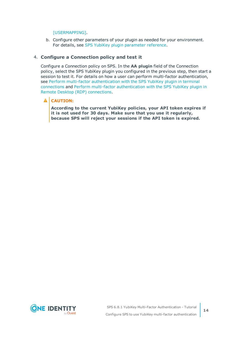#### [\[USERMAPPING\].](#page-23-0)

b. Configure other parameters of your plugin as needed for your environment. For details, see SPS YubiKey plugin [parameter](#page-14-0) reference.

#### 4. **Configure a Connection policy and test it**

Configure a Connection policy on SPS. In the **AA plugin** field of the Connection policy, select the SPS YubiKey plugin you configured in the previous step, then start a session to test it. For details on how a user can perform multi-factor authentication, see Perform multi-factor [authentication](#page-32-0) with the SPS YubiKey plugin in terminal [connections](#page-32-0) and Perform multi-factor [authentication](#page-33-0) with the SPS YubiKey plugin in Remote Desktop (RDP) [connections.](#page-33-0)

#### **A** CAUTION:

**According to the current YubiKey policies, your API token expires if it is not used for 30 days. Make sure that you use it regularly, because SPS will reject your sessions if the API token is expired.**

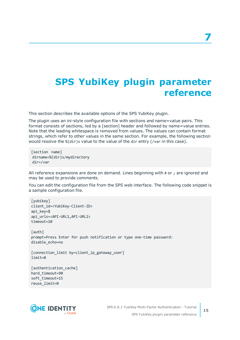# <span id="page-14-0"></span>**SPS YubiKey plugin parameter reference**

This section describes the available options of the SPS YubiKey plugin.

The plugin uses an ini-style configuration file with sections and name=value pairs. This format consists of sections, led by a [section] header and followed by name=value entries. Note that the leading whitespace is removed from values. The values can contain format strings, which refer to other values in the same section. For example, the following section would resolve the %(dir)s value to the value of the dir entry (/var in this case).

[section name] dirname=%(dir)s/mydirectory dir=/var

All reference expansions are done on demand. Lines beginning with # or ; are ignored and may be used to provide comments.

You can edit the configuration file from the SPS web interface. The following code snippet is a sample configuration file.

```
[yubikey]
client_id=<YubiKey-Client-ID>
api_key=$
api_urls=<API-URL1,API-URL2>
timeout=10
[auth]
prompt=Press Enter for push notification or type one-time password:
disable_echo=no
[connection_limit by=client_ip_gateway_user]
limit=0
[authentication_cache]
```
hard timeout=90 soft\_timeout=15 reuse\_limit=0



**15**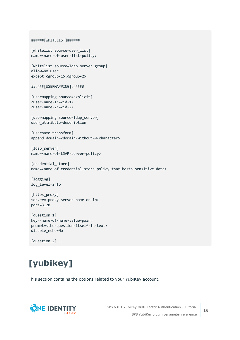```
######[WHITELIST]######
[whitelist source=user_list]
name=<name-of-user-list-policy>
[whitelist source=ldap server group]
allow=no_user
except=<group-1>,<group-2>
######[USERMAPPING]######
[usermapping source=explicit]
<user-name-1>=<id-1>
<user-name-2>=<id-2>
[usermapping source=ldap server]
user attribute=description
[username transform]
append domain=<domain-without-@-character>
[ldap server]
name=<name-of-LDAP-server-policy>
[credential_store]
name=<name-of-credential-store-policy-that-hosts-sensitive-data>
[logging]
log_level=info
```

```
[https_proxy]
server=<proxy-server-name-or-ip>
port=3128
```

```
[question_1]
key=<name-of-name-value-pair>
prompt=<the-question-itself-in-text>
disable_echo=No
```
[question\_2]...

# <span id="page-15-0"></span>**[yubikey]**

This section contains the options related to your YubiKey account.

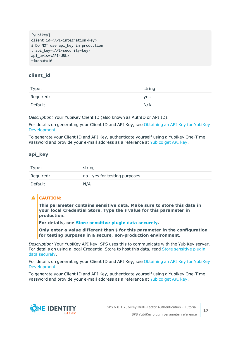```
[vubikev]
client_id=<API-integration-key>
# Do NOT use api key in production
; api_key=<API-security-key>
api_urls=<API-URL>
timeout=10
```
#### **client\_id**

| Type:     | string |
|-----------|--------|
| Required: | yes    |
| Default:  | N/A    |

*Description:* Your YubiKey Client ID (also known as AuthID or API ID).

For details on generating your Client ID and API Key, see [Obtaining](https://support.yubico.com/hc/en-us/articles/360013717560-Obtaining-an-API-Key-for-YubiKey-Development) an API Key for YubiKey [Development](https://support.yubico.com/hc/en-us/articles/360013717560-Obtaining-an-API-Key-for-YubiKey-Development).

To generate your Client ID and API Key, authenticate yourself using a Yubikey One-Time Password and provide your e-mail address as a reference at [Yubico](https://upgrade.yubico.com/getapikey/) get API key.

#### **api\_key**

| Type:     | string                        |
|-----------|-------------------------------|
| Required: | no   yes for testing purposes |
| Default:  | N/A                           |

#### **A** CAUTION:

**This parameter contains sensitive data. Make sure to store this data in your local Credential Store. Type the \$ value for this parameter in production.**

**For details, see Store [sensitive](#page-31-0) plugin data securely.**

**Only enter a value different than \$ for this parameter in the configuration for testing purposes in a secure, non-production environment.**

*Description:* Your YubiKey API key. SPS uses this to communicate with the YubiKey server. For details on using a local Credential Store to host this data, read Store [sensitive](#page-31-0) plugin data [securely](#page-31-0).

For details on generating your Client ID and API Key, see [Obtaining](https://support.yubico.com/hc/en-us/articles/360013717560-Obtaining-an-API-Key-for-YubiKey-Development) an API Key for YubiKey [Development](https://support.yubico.com/hc/en-us/articles/360013717560-Obtaining-an-API-Key-for-YubiKey-Development).

To generate your Client ID and API Key, authenticate yourself using a Yubikey One-Time Password and provide your e-mail address as a reference at [Yubico](https://upgrade.yubico.com/getapikey/) get API key.

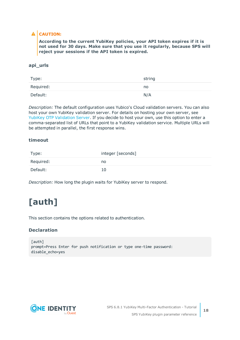#### **A** CAUTION:

**According to the current YubiKey policies, your API token expires if it is not used for 30 days. Make sure that you use it regularly, because SPS will reject your sessions if the API token is expired.**

#### **api\_urls**

| Type:     | string |
|-----------|--------|
| Required: | no     |
| Default:  | N/A    |

*Description:* The default configuration uses Yubico's Cloud validation servers. You can also host your own YubiKey validation server. For details on hosting your own server, see YubiKey OTP [Validation](https://developers.yubico.com/yubikey-val/) Server. If you decide to host your own, use this option to enter a comma-separated list of URLs that point to a YubiKey validation service. Multiple URLs will be attempted in parallel, the first response wins.

#### **timeout**

| Type:     | integer [seconds] |
|-----------|-------------------|
| Required: | no                |
| Default:  | 10                |

<span id="page-17-0"></span>*Description:* How long the plugin waits for YubiKey server to respond.

# **[auth]**

This section contains the options related to authentication.

#### **Declaration**

[auth] prompt=Press Enter for push notification or type one-time password: disable\_echo=yes

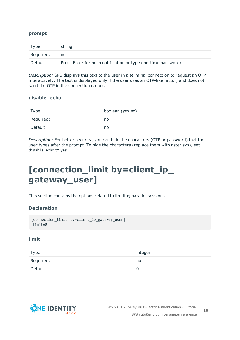#### **prompt**

| Type:     | string                                                       |
|-----------|--------------------------------------------------------------|
| Required: | no                                                           |
| Default:  | Press Enter for push notification or type one-time password: |

*Description:* SPS displays this text to the user in a terminal connection to request an OTP interactively. The text is displayed only if the user uses an OTP-like factor, and does not send the OTP in the connection request.

#### **disable\_echo**

| Type:     | boolean (yes no) |
|-----------|------------------|
| Required: | no               |
| Default:  | no               |

*Description:* For better security, you can hide the characters (OTP or password) that the user types after the prompt. To hide the characters (replace them with asterisks), set disable\_echo to yes.

## <span id="page-18-0"></span>**[connection\_limit by=client\_ip\_ gateway\_user]**

This section contains the options related to limiting parallel sessions.

#### **Declaration**

```
[connection_limit by=client_ip_gateway_user]
limit=0
```
#### **limit**

| Type:     | integer |
|-----------|---------|
| Required: | no      |
| Default:  |         |

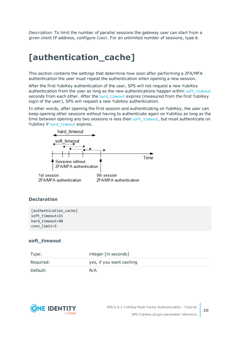*Description:* To limit the number of parallel sessions the gateway user can start from a given client IP address, configure limit. For an unlimited number of sessions, type 0.

## <span id="page-19-0"></span>**[authentication\_cache]**

This section contains the settings that determine how soon after performing a 2FA/MFA authentication the user must repeat the authentication when opening a new session.

After the first YubiKey authentication of the user, SPS will not request a new YubiKey authentication from the user as long as the new authentications happen within soft timeout seconds from each other. After the hard timeout expires (measured from the first YubiKey login of the user), SPS will request a new YubiKey authentication.

In other words, after opening the first session and authenticating on YubiKey, the user can keep opening other sessions without having to authenticate again on YubiKey as long as the time between opening any two sessions is less than soft timeout, but must authenticate on YubiKey if [hard\\_timeout](#page-20-1) expires.



#### **Declaration**

```
[authentication_cache]
soft_timeout=15
hard_timeout=90
conn_limit=5
```
#### <span id="page-19-1"></span>**soft\_timeout**

| Type:     | integer [in seconds]     |
|-----------|--------------------------|
| Required: | yes, if you want caching |
| Default:  | N/A                      |

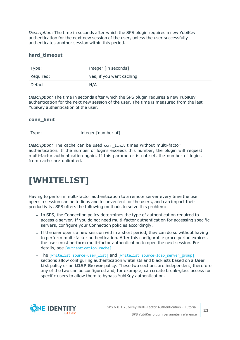*Description:* The time in seconds after which the SPS plugin requires a new YubiKey authentication for the next new session of the user, unless the user successfully authenticates another session within this period.

#### <span id="page-20-1"></span>**hard\_timeout**

| Type:     | integer [in seconds]     |
|-----------|--------------------------|
| Required: | yes, if you want caching |
| Default:  | N/A                      |

*Description:* The time in seconds after which the SPS plugin requires a new YubiKey authentication for the next new session of the user. The time is measured from the last YubiKey authentication of the user.

#### **conn\_limit**

Type: Type: integer [number of]

*Description:* The cache can be used conn\_limit times without multi-factor authentication. If the number of logins exceeds this number, the plugin will request multi-factor authentication again. If this parameter is not set, the number of logins from cache are unlimited.

## <span id="page-20-0"></span>**[WHITELIST]**

Having to perform multi-factor authentication to a remote server every time the user opens a session can be tedious and inconvenient for the users, and can impact their productivity. SPS offers the following methods to solve this problem:

- In SPS, the Connection policy determines the type of authentication required to access a server. If you do not need multi-factor authentication for accessing specific servers, configure your Connection policies accordingly.
- If the user opens a new session within a short period, they can do so without having to perform multi-factor authentication. After this configurable grace period expires, the user must perform multi-factor authentication to open the next session. For details, see [authentication cache].
- The [whitelist source=user list] and [whitelist source=ldap server group] sections allow configuring authentication whitelists and blacklists based on a **User List** policy or an **LDAP Server** policy. These two sections are independent, therefore any of the two can be configured and, for example, can create break-glass access for specific users to allow them to bypass YubiKey authentication.

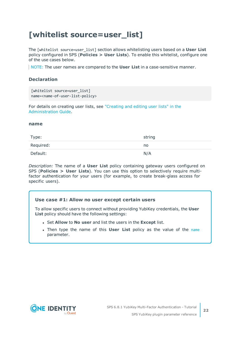### <span id="page-21-0"></span>**[whitelist source=user\_list]**

The [whitelist source=user\_list] section allows whitelisting users based on a **User List** policy configured in SPS (**Policies > User Lists**). To enable this whitelist, configure one of the use cases below.

NOTE: The user names are compared to the **User List** in a case-sensitive manner.

#### **Declaration**

```
[whitelist source=user list]
name=<name-of-user-list-policy>
```
For details on creating user lists, see ["Creating](https://support.oneidentity.com/technical-documents/safeguard-for-privileged-sessions/6.8.1/administration-guide/general-connection-settings/creating-and-editing-user-lists/) and editing user lists" in the [Administration](https://support.oneidentity.com/technical-documents/safeguard-for-privileged-sessions/6.8.1/administration-guide/general-connection-settings/creating-and-editing-user-lists/) Guide.

#### <span id="page-21-1"></span>**name**

| Type:     | string |
|-----------|--------|
| Required: | no     |
| Default:  | N/A    |

*Description:* The name of a **User List** policy containing gateway users configured on SPS (**Policies > User Lists**). You can use this option to selectively require multifactor authentication for your users (for example, to create break-glass access for specific users).

#### **Use case #1: Allow no user except certain users**

To allow specific users to connect without providing YubiKey credentials, the **User List** policy should have the following settings:

- <sup>l</sup> Set **Allow** to **No user** and list the users in the **Except** list.
- **.** Then type the [name](#page-21-1) of this **User List** policy as the value of the name parameter.

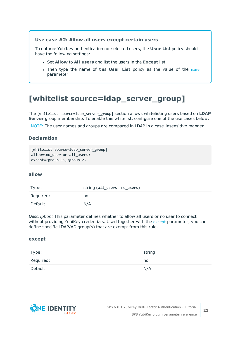#### **Use case #2: Allow all users except certain users**

To enforce YubiKey authentication for selected users, the **User List** policy should have the following settings:

- <sup>l</sup> Set **Allow** to **All users** and list the users in the **Except** list.
- **.** Then type the [name](#page-21-1) of this **User List** policy as the value of the name parameter.

### <span id="page-22-0"></span>**[whitelist source=ldap\_server\_group]**

The [whitelist source=ldap\_server\_group] section allows whitelisting users based on **LDAP Server** group membership. To enable this whitelist, configure one of the use cases below.

NOTE: The user names and groups are compared in LDAP in a case-insensitive manner.

#### **Declaration**

```
[whitelist source=1dap server group]
allow=<no user-or-all users>
except=<group-1>,<group-2>
```
#### <span id="page-22-2"></span>**allow**

| Type:     | string (all_users   no_users) |
|-----------|-------------------------------|
| Required: | no                            |
| Default:  | N/A                           |

*Description:* This parameter defines whether to allow all users or no user to connect without providing YubiKey credentials. Used together with the [except](#page-22-1) parameter, you can define specific LDAP/AD group(s) that are exempt from this rule.

#### <span id="page-22-1"></span>**except**

| Type:     | string |
|-----------|--------|
| Required: | no     |
| Default:  | N/A    |

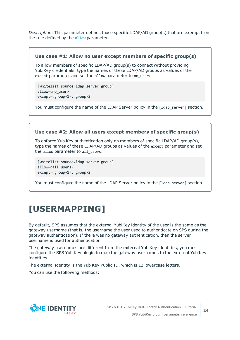*Description:* This parameter defines those specific LDAP/AD group(s) that are exempt from the rule defined by the [allow](#page-22-2) parameter.

#### **Use case #1: Allow no user except members of specific group(s)**

To allow members of specific LDAP/AD group(s) to connect without providing YubiKey credentials, type the names of these LDAP/AD groups as values of the except parameter and set the allow parameter to no\_user:

[whitelist source=ldap server group] allow=<no\_user> except=<group-1>,<group-2>

You must configure the name of the LDAP Server policy in the [1dap\_server] section.

#### **Use case #2: Allow all users except members of specific group(s)**

To enforce YubiKey authentication only on members of specific LDAP/AD group(s), type the names of these LDAP/AD groups as values of the except parameter and set the allow parameter to all users:

[whitelist source=ldap server group] allow=<all users> except=<group-1>,<group-2>

You must configure the name of the LDAP Server policy in the [1dap\_server] section.

## <span id="page-23-0"></span>**[USERMAPPING]**

By default, SPS assumes that the external YubiKey identity of the user is the same as the gateway username (that is, the username the user used to authenticate on SPS during the gateway authentication). If there was no gateway authentication, then the server username is used for authentication.

The gateway usernames are different from the external YubiKey identities, you must configure the SPS YubiKey plugin to map the gateway usernames to the external YubiKey identities.

The external identity is the YubiKey Public ID, which is 12 lowercase letters.

You can use the following methods:

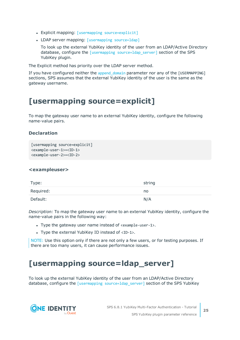- Explicit mapping: [usermapping [source=explicit\]](#page-24-0)
- LDAP server mapping: [\[usermapping](#page-24-1) source=ldap]

To look up the external YubiKey identity of the user from an LDAP/Active Directory database, configure the [usermapping [source=ldap\\_server\]](#page-24-1) section of the SPS YubiKey plugin.

The Explicit method has priority over the LDAP server method.

If you have configured neither the append domain parameter nor any of the [USERMAPPING] sections, SPS assumes that the external YubiKey identity of the user is the same as the gateway username.

### <span id="page-24-0"></span>**[usermapping source=explicit]**

To map the gateway user name to an external YubiKey identity, configure the following name-value pairs.

#### **Declaration**

```
[usermapping source=explicit]
<example-user-1>=<ID-1>
<example-user-2>=<ID-2>
```
#### **<exampleuser>**

| Type:     | string |
|-----------|--------|
| Required: | no     |
| Default:  | N/A    |

*Description:* To map the gateway user name to an external YubiKey identity, configure the name-value pairs in the following way:

- Type the gateway user name instead of <example-user-1>.
- Type the external YubiKey ID instead of  $\langle$ ID-1>.

NOTE: Use this option only if there are not only a few users, or for testing purposes. If there are too many users, it can cause performance issues.

### <span id="page-24-1"></span>**[usermapping source=ldap\_server]**

To look up the external YubiKey identity of the user from an LDAP/Active Directory database, configure the [usermapping source=1dap server] section of the SPS YubiKey

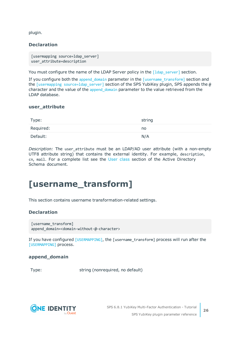plugin.

#### **Declaration**

```
[usermapping source=ldap server]
user_attribute=description
```
You must configure the name of the LDAP Server policy in the [1dap\_server] section.

If you configure both the [append\\_domain](#page-25-1) parameter in the [\[username\\_transform\]](#page-25-0) section and the [usermapping source=1dap\_server] section of the SPS YubiKey plugin, SPS appends the @ character and the value of the [append\\_domain](#page-25-1) parameter to the value retrieved from the LDAP database.

#### **user\_attribute**

| Type:     | string |
|-----------|--------|
| Required: | no     |
| Default:  | N/A    |

*Description:* The user attribute must be an LDAP/AD user attribute (with a non-empty UTF8 attribute string) that contains the external identity. For example, description, cn, mail. For a complete list see the User [class](https://docs.microsoft.com/en-gb/windows/desktop/ADSchema/c-user) section of the Active Directory Schema document.

### <span id="page-25-0"></span>**[username\_transform]**

This section contains username transformation-related settings.

#### **Declaration**

```
[username transform]
append_domain=<domain-without-@-character>
```
If you have configured [\[USERMAPPING\]](#page-23-0), the [username\_transform] process will run after the [\[USERMAPPING\]](#page-23-0) process.

#### <span id="page-25-1"></span>**append\_domain**

Type: string (nonrequired, no default)

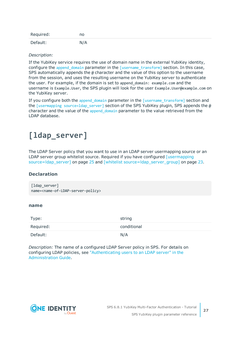| Required: | no  |
|-----------|-----|
| Default:  | N/A |

#### *Description:*

If the YubiKey service requires the use of domain name in the external YubiKey identity, configure the append domain parameter in the [\[username\\_transform\]](#page-25-0) section. In this case, SPS automatically appends the  $\omega$  character and the value of this option to the username from the session, and uses the resulting username on the YubiKey server to authenticate the user. For example, if the domain is set to append\_domain: example.com and the username is Example.User, the SPS plugin will look for the user Example.User@example.com on the YubiKey server.

If you configure both the append domain parameter in the  $[$ username transform] section and the [usermapping source=ldap server] section of the SPS YubiKey plugin, SPS appends the  $\omega$ character and the value of the append domain parameter to the value retrieved from the LDAP database.

### <span id="page-26-0"></span>**[ldap\_server]**

The LDAP Server policy that you want to use in an LDAP server usermapping source or an LDAP server group whitelist source. Required if you have configured [\[usermapping](#page-24-1)] [source=ldap\\_server\]](#page-24-1) on page 25 and [whitelist [source=ldap\\_server\\_group\]](#page-22-0) on page 23.

#### **Declaration**

[ldap server] name=<name-of-LDAP-server-policy>

#### **name**

| Type:     | string      |
|-----------|-------------|
| Required: | conditional |
| Default:  | N/A         |

*Description:* The name of a configured LDAP Server policy in SPS. For details on configuring LDAP policies, see ["Authenticating](https://support.oneidentity.com/technical-documents/safeguard-for-privileged-sessions/6.8.1/administration-guide/general-connection-settings/authenticating-users-to-an-ldap-server/) users to an LDAP server" in the [Administration](https://support.oneidentity.com/technical-documents/safeguard-for-privileged-sessions/6.8.1/administration-guide/general-connection-settings/authenticating-users-to-an-ldap-server/) Guide.



**27**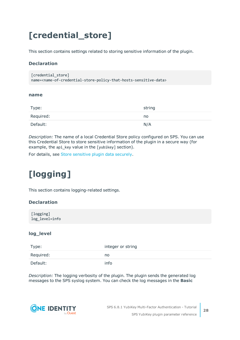# <span id="page-27-0"></span>**[credential\_store]**

This section contains settings related to storing sensitive information of the plugin.

#### **Declaration**

```
[credential store]
name=<name-of-credential-store-policy-that-hosts-sensitive-data>
```
#### <span id="page-27-2"></span>**name**

| Type:     | string |
|-----------|--------|
| Required: | no     |
| Default:  | N/A    |

*Description:* The name of a local Credential Store policy configured on SPS. You can use this Credential Store to store sensitive information of the plugin in a secure way (for example, the api\_key value in the [yubikey] section).

<span id="page-27-1"></span>For details, see Store [sensitive](#page-31-0) plugin data securely.

# **[logging]**

This section contains logging-related settings.

#### **Declaration**

[logging] log\_level=info

#### **log\_level**

| Type:     | integer or string |
|-----------|-------------------|
| Required: | no                |
| Default:  | info              |

*Description:* The logging verbosity of the plugin. The plugin sends the generated log messages to the SPS syslog system. You can check the log messages in the **Basic**

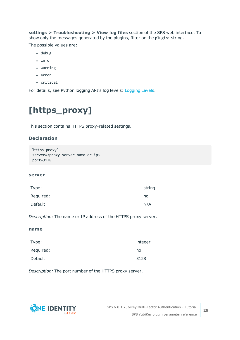**settings > Troubleshooting > View log files** section of the SPS web interface. To show only the messages generated by the plugins, filter on the plugin: string.

The possible values are:

- $\cdot$  debug
- info
- $\bullet$  warning
- $\cdot$  error
- critical

<span id="page-28-0"></span>For details, see Python logging API's log levels: [Logging](https://docs.python.org/2/library/logging.html#logging-levels) Levels.

# **[https\_proxy]**

This section contains HTTPS proxy-related settings.

#### **Declaration**

```
[https_proxy]
server=<proxy-server-name-or-ip>
port=3128
```
#### **server**

| Type:     | string |
|-----------|--------|
| Required: | no     |
| Default:  | N/A    |

*Description:* The name or IP address of the HTTPS proxy server.

#### **name**

| Type:     | integer |
|-----------|---------|
| Required: | no      |
| Default:  | 3128    |

*Description:* The port number of the HTTPS proxy server.

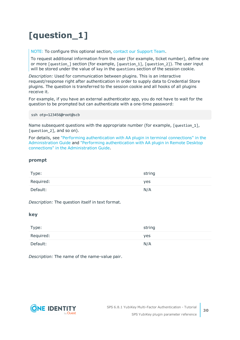# <span id="page-29-0"></span>**[question\_1]**

NOTE: To configure this optional section, contact our [Support](https://support.oneidentity.com/one-identity-safeguard-for-privileged-sessions) Team.

To request additional information from the user (for example, ticket number), define one or more [question\_] section (for example, [question\_1], [question\_2]). The user input will be stored under the value of key in the questions section of the session cookie.

*Description:* Used for communication between plugins. This is an interactive request/response right after authentication in order to supply data to Credential Store plugins. The question is transferred to the session cookie and all hooks of all plugins receive it.

For example, if you have an external authenticator app, you do not have to wait for the question to be prompted but can authenticate with a one-time password:

ssh otp=123456@root@scb

Name subsequent questions with the appropriate number (for example, [question 1], [question 2], and so on).

For details, see "Performing [authentication](https://support.oneidentity.com/technical-documents/safeguard-for-privileged-sessions/6.8.1/administration-guide/advanced-authentication-and-authorization-techniques/integrating-external-authentication-and-authorization-systems/performing-authentication-with-aa-plugin-in-terminal-connections/) with AA plugin in terminal connections" in the [Administration](https://support.oneidentity.com/technical-documents/safeguard-for-privileged-sessions/6.8.1/administration-guide/advanced-authentication-and-authorization-techniques/integrating-external-authentication-and-authorization-systems/performing-authentication-with-aa-plugin-in-terminal-connections/) Guide and "Performing [authentication](https://support.oneidentity.com/technical-documents/safeguard-for-privileged-sessions/6.8.1/administration-guide/advanced-authentication-and-authorization-techniques/integrating-external-authentication-and-authorization-systems/performing-authentication-with-aa-plugin-in-remote-desktop-connections/) with AA plugin in Remote Desktop connections" in the [Administration](https://support.oneidentity.com/technical-documents/safeguard-for-privileged-sessions/6.8.1/administration-guide/advanced-authentication-and-authorization-techniques/integrating-external-authentication-and-authorization-systems/performing-authentication-with-aa-plugin-in-remote-desktop-connections/) Guide.

#### **prompt**

| Type:     | string |
|-----------|--------|
| Required: | yes    |
| Default:  | N/A    |

*Description:* The question itself in text format.

#### **key**

| Type:     | string |
|-----------|--------|
| Required: | yes    |
| Default:  | N/A    |

*Description:* The name of the name-value pair.

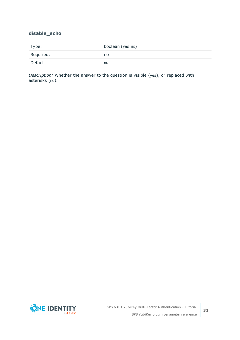#### **disable\_echo**

| Type:     | boolean (yes no) |
|-----------|------------------|
| Required: | no.              |
| Default:  | no               |

*Description:* Whether the answer to the question is visible (yes), or replaced with asterisks (no).

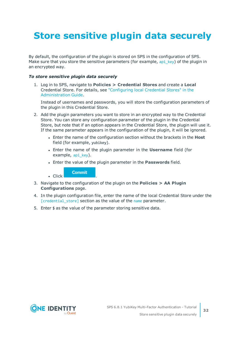# <span id="page-31-0"></span>**Store sensitive plugin data securely**

By default, the configuration of the plugin is stored on SPS in the configuration of SPS. Make sure that you store the sensitive parameters (for example, api key) of the plugin in an encrypted way.

#### *To store sensitive plugin data securely*

1. Log in to SPS, navigate to **Policies > Credential Stores** and create a **Local** Credential Store. For details, see ["Configuring](https://support.oneidentity.com/technical-documents/safeguard-for-privileged-sessions/6.8.1/administration-guide/advanced-authentication-and-authorization-techniques/using-credential-stores-for-server-side-authentication/configuring-local-credential-stores/) local Credential Stores" in the [Administration](https://support.oneidentity.com/technical-documents/safeguard-for-privileged-sessions/6.8.1/administration-guide/advanced-authentication-and-authorization-techniques/using-credential-stores-for-server-side-authentication/configuring-local-credential-stores/) Guide.

Instead of usernames and passwords, you will store the configuration parameters of the plugin in this Credential Store.

- 2. Add the plugin parameters you want to store in an encrypted way to the Credential Store. You can store any configuration parameter of the plugin in the Credential Store, but note that if an option appears in the Credential Store, the plugin will use it. If the same parameter appears in the configuration of the plugin, it will be ignored.
	- **.** Enter the name of the configuration section without the brackets in the Host field (for example, yubikey).
	- <sup>l</sup> Enter the name of the plugin parameter in the **Username** field (for example, api key).
	- <sup>l</sup> Enter the value of the plugin parameter in the **Passwords** field.

**Commit** 

 $\blacksquare$  Click

- 3. Navigate to the configuration of the plugin on the **Policies > AA Plugin Configurations** page.
- 4. In the plugin configuration file, enter the name of the local Credential Store under the [\[credential\\_store\]](#page-27-0) section as the value of the [name](#page-27-2) parameter.
- 5. Enter  $$$  as the value of the parameter storing sensitive data.

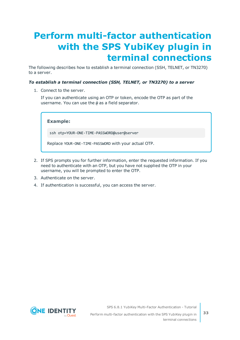# <span id="page-32-0"></span>**Perform multi-factor authentication with the SPS YubiKey plugin in terminal connections**

The following describes how to establish a terminal connection (SSH, TELNET, or TN3270) to a server.

#### *To establish a terminal connection (SSH, TELNET, or TN3270) to a server*

1. Connect to the server.

If you can authenticate using an OTP or token, encode the OTP as part of the username. You can use the @ as a field separator.

**Example:**

ssh otp=YOUR-ONE-TIME-PASSWORD@user@server

Replace YOUR-ONE-TIME-PASSWORD with your actual OTP.

- 2. If SPS prompts you for further information, enter the requested information. If you need to authenticate with an OTP, but you have not supplied the OTP in your username, you will be prompted to enter the OTP.
- 3. Authenticate on the server.
- 4. If authentication is successful, you can access the server.



SPS 6.8.1 YubiKey Multi-Factor Authentication - Tutorial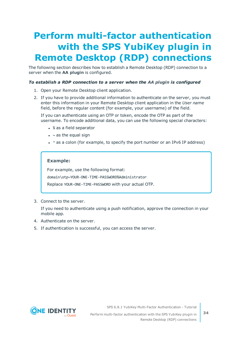# <span id="page-33-0"></span>**Perform multi-factor authentication with the SPS YubiKey plugin in Remote Desktop (RDP) connections**

The following section describes how to establish a Remote Desktop (RDP) connection to a server when the **AA plugin** is configured.

#### *To establish a RDP connection to a server when the AA plugin is configured*

- 1. Open your Remote Desktop client application.
- 2. If you have to provide additional information to authenticate on the server, you must enter this information in your Remote Desktop client application in the *User name* field, before the regular content (for example, your username) of the field.

If you can authenticate using an OTP or token, encode the OTP as part of the username. To encode additional data, you can use the following special characters:

- % as a field separator
- $\bullet$  ~ as the equal sign
- $\cdot$  ^ as a colon (for example, to specify the port number or an IPv6 IP address)

#### **Example:**

For example, use the following format:

domain\otp~YOUR-ONE-TIME-PASSWORD%Administrator

Replace YOUR-ONE-TIME-PASSWORD with your actual OTP.

3. Connect to the server.

If you need to authenticate using a push notification, approve the connection in your mobile app.

- 4. Authenticate on the server.
- 5. If authentication is successful, you can access the server.



SPS 6.8.1 YubiKey Multi-Factor Authentication - Tutorial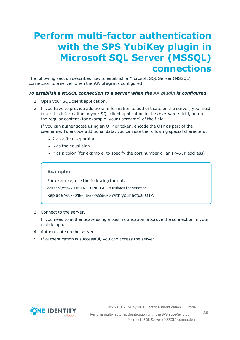# <span id="page-34-0"></span>**Perform multi-factor authentication with the SPS YubiKey plugin in Microsoft SQL Server (MSSQL) connections**

The following section describes how to establish a Microsoft SQL Server (MSSQL) connection to a server when the **AA plugin** is configured.

#### *To establish a MSSQL connection to a server when the AA plugin is configured*

- 1. Open your SQL client application.
- 2. If you have to provide additional information to authenticate on the server, you must enter this information in your SQL client application in the *User name* field, before the regular content (for example, your username) of the field.

If you can authenticate using an OTP or token, encode the OTP as part of the username. To encode additional data, you can use the following special characters:

- % as a field separator
- $\bullet$  ~ as the equal sign
- $\cdot$  ^ as a colon (for example, to specify the port number or an IPv6 IP address)

#### **Example:**

For example, use the following format: domain\otp~YOUR-ONE-TIME-PASSWORD%Administrator

Replace YOUR-ONE-TIME-PASSWORD with your actual OTP.

3. Connect to the server.

If you need to authenticate using a push notification, approve the connection in your mobile app.

- 4. Authenticate on the server.
- 5. If authentication is successful, you can access the server.



SPS 6.8.1 YubiKey Multi-Factor Authentication - Tutorial